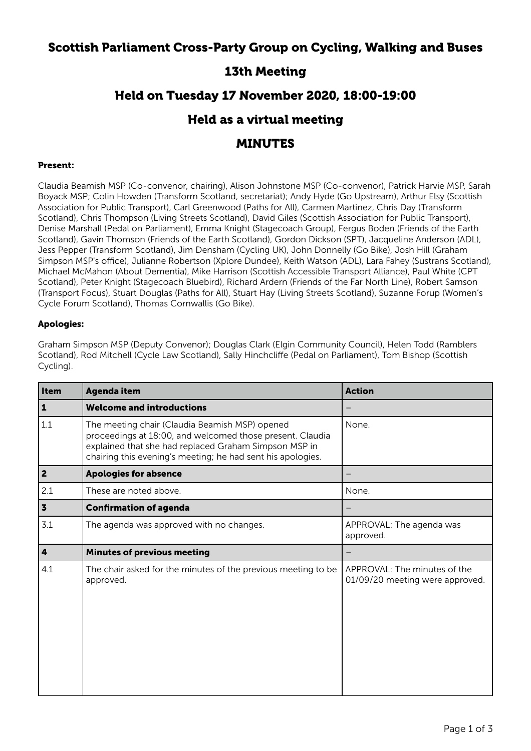# Scottish Parliament Cross-Party Group on Cycling, Walking and Buses

# 13th Meeting

# Held on Tuesday 17 November 2020, 18:00-19:00

### Held as a virtual meeting

### MINUTES

#### Present:

Claudia Beamish MSP (Co-convenor, chairing), Alison Johnstone MSP (Co-convenor), Patrick Harvie MSP, Sarah Boyack MSP; Colin Howden (Transform Scotland, secretariat); Andy Hyde (Go Upstream), Arthur Elsy (Scottish Association for Public Transport), Carl Greenwood (Paths for All), Carmen Martinez, Chris Day (Transform Scotland), Chris Thompson (Living Streets Scotland), David Giles (Scottish Association for Public Transport), Denise Marshall (Pedal on Parliament), Emma Knight (Stagecoach Group), Fergus Boden (Friends of the Earth Scotland), Gavin Thomson (Friends of the Earth Scotland), Gordon Dickson (SPT), Jacqueline Anderson (ADL), Jess Pepper (Transform Scotland), Jim Densham (Cycling UK), John Donnelly (Go Bike), Josh Hill (Graham Simpson MSP's office), Julianne Robertson (Xplore Dundee), Keith Watson (ADL), Lara Fahey (Sustrans Scotland), Michael McMahon (About Dementia), Mike Harrison (Scottish Accessible Transport Alliance), Paul White (CPT Scotland), Peter Knight (Stagecoach Bluebird), Richard Ardern (Friends of the Far North Line), Robert Samson (Transport Focus), Stuart Douglas (Paths for All), Stuart Hay (Living Streets Scotland), Suzanne Forup (Women's Cycle Forum Scotland), Thomas Cornwallis (Go Bike).

#### Apologies:

Graham Simpson MSP (Deputy Convenor); Douglas Clark (Elgin Community Council), Helen Todd (Ramblers Scotland), Rod Mitchell (Cycle Law Scotland), Sally Hinchcliffe (Pedal on Parliament), Tom Bishop (Scottish Cycling).

| Item                    | Agenda item                                                                                                                                                                                                                         | <b>Action</b>                                                   |
|-------------------------|-------------------------------------------------------------------------------------------------------------------------------------------------------------------------------------------------------------------------------------|-----------------------------------------------------------------|
| $\mathbf{1}$            | <b>Welcome and introductions</b>                                                                                                                                                                                                    |                                                                 |
| 1.1                     | The meeting chair (Claudia Beamish MSP) opened<br>proceedings at 18:00, and welcomed those present. Claudia<br>explained that she had replaced Graham Simpson MSP in<br>chairing this evening's meeting; he had sent his apologies. | None.                                                           |
| $\overline{\mathbf{2}}$ | <b>Apologies for absence</b>                                                                                                                                                                                                        |                                                                 |
| 2.1                     | These are noted above.                                                                                                                                                                                                              | None.                                                           |
| $\overline{\mathbf{3}}$ | <b>Confirmation of agenda</b>                                                                                                                                                                                                       |                                                                 |
| 3.1                     | The agenda was approved with no changes.                                                                                                                                                                                            | APPROVAL: The agenda was<br>approved.                           |
| $\overline{\mathbf{4}}$ | <b>Minutes of previous meeting</b>                                                                                                                                                                                                  |                                                                 |
| 4.1                     | The chair asked for the minutes of the previous meeting to be<br>approved.                                                                                                                                                          | APPROVAL: The minutes of the<br>01/09/20 meeting were approved. |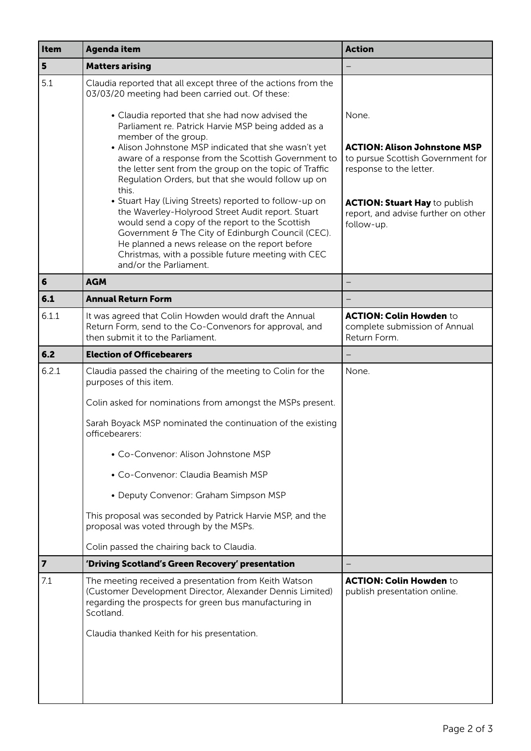| Item      | <b>Agenda item</b>                                                                                                                                                                                                                                                                                                                                    | <b>Action</b>                                                                                       |
|-----------|-------------------------------------------------------------------------------------------------------------------------------------------------------------------------------------------------------------------------------------------------------------------------------------------------------------------------------------------------------|-----------------------------------------------------------------------------------------------------|
| 5         | <b>Matters arising</b>                                                                                                                                                                                                                                                                                                                                |                                                                                                     |
| 5.1       | Claudia reported that all except three of the actions from the<br>03/03/20 meeting had been carried out. Of these:                                                                                                                                                                                                                                    |                                                                                                     |
|           | • Claudia reported that she had now advised the<br>Parliament re. Patrick Harvie MSP being added as a                                                                                                                                                                                                                                                 | None.                                                                                               |
|           | member of the group.<br>• Alison Johnstone MSP indicated that she wasn't yet<br>aware of a response from the Scottish Government to<br>the letter sent from the group on the topic of Traffic<br>Regulation Orders, but that she would follow up on<br>this.                                                                                          | <b>ACTION: Alison Johnstone MSP</b><br>to pursue Scottish Government for<br>response to the letter. |
|           | • Stuart Hay (Living Streets) reported to follow-up on<br>the Waverley-Holyrood Street Audit report. Stuart<br>would send a copy of the report to the Scottish<br>Government & The City of Edinburgh Council (CEC).<br>He planned a news release on the report before<br>Christmas, with a possible future meeting with CEC<br>and/or the Parliament. | <b>ACTION: Stuart Hay to publish</b><br>report, and advise further on other<br>follow-up.           |
| $\vert 6$ | <b>AGM</b>                                                                                                                                                                                                                                                                                                                                            |                                                                                                     |
| 6.1       | <b>Annual Return Form</b>                                                                                                                                                                                                                                                                                                                             |                                                                                                     |
| 6.1.1     | It was agreed that Colin Howden would draft the Annual<br>Return Form, send to the Co-Convenors for approval, and<br>then submit it to the Parliament.                                                                                                                                                                                                | <b>ACTION: Colin Howden to</b><br>complete submission of Annual<br>Return Form.                     |
| 6.2       | <b>Election of Officebearers</b>                                                                                                                                                                                                                                                                                                                      |                                                                                                     |
| 6.2.1     | Claudia passed the chairing of the meeting to Colin for the<br>purposes of this item.                                                                                                                                                                                                                                                                 | None.                                                                                               |
|           | Colin asked for nominations from amongst the MSPs present.                                                                                                                                                                                                                                                                                            |                                                                                                     |
|           | Sarah Boyack MSP nominated the continuation of the existing<br>officebearers:                                                                                                                                                                                                                                                                         |                                                                                                     |
|           | • Co-Convenor: Alison Johnstone MSP                                                                                                                                                                                                                                                                                                                   |                                                                                                     |
|           | • Co-Convenor: Claudia Beamish MSP                                                                                                                                                                                                                                                                                                                    |                                                                                                     |
|           | • Deputy Convenor: Graham Simpson MSP                                                                                                                                                                                                                                                                                                                 |                                                                                                     |
|           | This proposal was seconded by Patrick Harvie MSP, and the<br>proposal was voted through by the MSPs.                                                                                                                                                                                                                                                  |                                                                                                     |
|           | Colin passed the chairing back to Claudia.                                                                                                                                                                                                                                                                                                            |                                                                                                     |
| $\vert$ 7 | 'Driving Scotland's Green Recovery' presentation                                                                                                                                                                                                                                                                                                      |                                                                                                     |
| 7.1       | The meeting received a presentation from Keith Watson<br>(Customer Development Director, Alexander Dennis Limited)<br>regarding the prospects for green bus manufacturing in<br>Scotland.                                                                                                                                                             | <b>ACTION: Colin Howden to</b><br>publish presentation online.                                      |
|           | Claudia thanked Keith for his presentation.                                                                                                                                                                                                                                                                                                           |                                                                                                     |